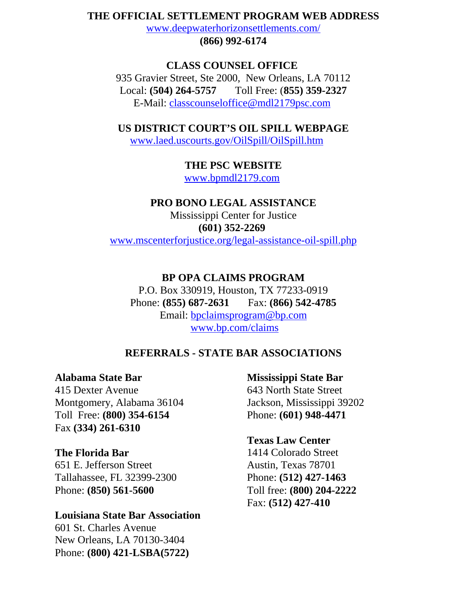#### **THE OFFICIAL SETTLEMENT PROGRAM WEB ADDRESS**

www.deepwaterhorizonsettlements.com/

**(866) 992-6174**

# **CLASS COUNSEL OFFICE**  935 Gravier Street, Ste 2000, New Orleans, LA 70112 Local: **(504) 264-5757** Toll Free: (**855) 359-2327** E-Mail: classcounseloffice@mdl2179psc.com

**US DISTRICT COURT'S OIL SPILL WEBPAGE** www.laed.uscourts.gov/OilSpill/OilSpill.htm

# **THE PSC WEBSITE**

www.bpmdl2179.com

#### **PRO BONO LEGAL ASSISTANCE**

Mississippi Center for Justice **(601) 352-2269** www.mscenterforjustice.org/legal-assistance-oil-spill.php

## **BP OPA CLAIMS PROGRAM**

P.O. Box 330919, Houston, TX 77233-0919 Phone: **(855) 687-2631** Fax: **(866) 542-4785** Email: bpclaimsprogram@bp.com www.bp.com/claims

## **REFERRALS - STATE BAR ASSOCIATIONS**

## **Alabama State Bar**

415 Dexter Avenue Montgomery, Alabama 36104 Toll Free: **(800) 354-6154** Fax **(334) 261-6310**

#### **The Florida Bar**

651 E. Jefferson Street Tallahassee, FL 32399-2300 Phone: **(850) 561-5600**

### **Louisiana State Bar Association**

601 St. Charles Avenue New Orleans, LA 70130-3404 Phone: **(800) 421-LSBA(5722)**

**Mississippi State Bar** 643 North State Street Jackson, Mississippi 39202 Phone: **(601) 948-4471**

# **Texas Law Center**

1414 Colorado Street Austin, Texas 78701 Phone: **(512) 427-1463** Toll free: **(800) 204-2222** Fax: **(512) 427-410**